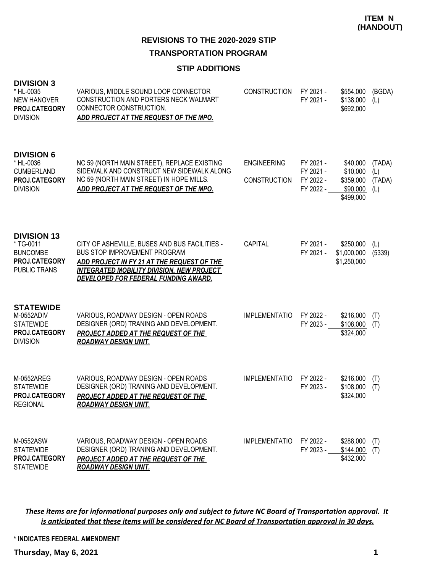# **TRANSPORTATION PROGRAM**

#### **STIP ADDITIONS**

| <b>DIVISION 3</b> |  |
|-------------------|--|
|-------------------|--|

| * HL-0035<br><b>NEW HANOVER</b><br>PROJ.CATEGORY<br><b>DIVISION</b>                        | VARIOUS, MIDDLE SOUND LOOP CONNECTOR<br>CONSTRUCTION AND PORTERS NECK WALMART<br>CONNECTOR CONSTRUCTION.<br>ADD PROJECT AT THE REQUEST OF THE MPO.                                                                             | <b>CONSTRUCTION</b>                       | FY 2021 -<br>FY 2021 -                           | \$554,000<br>\$138,000<br>\$692,000                        | (BGDA)<br>(L)                  |
|--------------------------------------------------------------------------------------------|--------------------------------------------------------------------------------------------------------------------------------------------------------------------------------------------------------------------------------|-------------------------------------------|--------------------------------------------------|------------------------------------------------------------|--------------------------------|
| <b>DIVISION 6</b><br>* HL-0036<br><b>CUMBERLAND</b><br>PROJ.CATEGORY<br><b>DIVISION</b>    | NC 59 (NORTH MAIN STREET), REPLACE EXISTING<br>SIDEWALK AND CONSTRUCT NEW SIDEWALK ALONG<br>NC 59 (NORTH MAIN STREET) IN HOPE MILLS.<br>ADD PROJECT AT THE REQUEST OF THE MPO.                                                 | <b>ENGINEERING</b><br><b>CONSTRUCTION</b> | FY 2021 -<br>FY 2021 -<br>FY 2022 -<br>FY 2022 - | \$40,000<br>\$10,000<br>\$359,000<br>\$90,000<br>\$499,000 | (TADA)<br>(L)<br>(TADA)<br>(L) |
| <b>DIVISION 13</b><br>* TG-0011<br><b>BUNCOMBE</b><br>PROJ.CATEGORY<br><b>PUBLIC TRANS</b> | CITY OF ASHEVILLE, BUSES AND BUS FACILITIES -<br><b>BUS STOP IMPROVEMENT PROGRAM</b><br>ADD PROJECT IN FY 21 AT THE REQUEST OF THE<br><b>INTEGRATED MOBILITY DIVISION. NEW PROJECT</b><br>DEVELOPED FOR FEDERAL FUNDING AWARD. | CAPITAL                                   | FY 2021 -<br>FY 2021 -                           | \$250,000<br>\$1,000,000<br>\$1,250,000                    | (L)<br>(5339)                  |
| <b>STATEWIDE</b><br>M-0552ADIV<br><b>STATEWIDE</b><br>PROJ.CATEGORY<br><b>DIVISION</b>     | VARIOUS, ROADWAY DESIGN - OPEN ROADS<br>DESIGNER (ORD) TRANING AND DEVELOPMENT.<br>PROJECT ADDED AT THE REQUEST OF THE<br><b>ROADWAY DESIGN UNIT.</b>                                                                          | <b>IMPLEMENTATIO</b>                      | FY 2022 -<br>FY 2023 -                           | \$216,000<br>\$108,000<br>\$324,000                        | (T)<br>(T)                     |
| M-0552AREG<br><b>STATEWIDE</b><br>PROJ.CATEGORY<br><b>REGIONAL</b>                         | VARIOUS, ROADWAY DESIGN - OPEN ROADS<br>DESIGNER (ORD) TRANING AND DEVELOPMENT.<br><b>PROJECT ADDED AT THE REQUEST OF THE</b><br><b>ROADWAY DESIGN UNIT.</b>                                                                   | <b>IMPLEMENTATIO</b>                      | FY 2022 -<br>FY 2023 -                           | \$216,000<br>\$108,000<br>\$324,000                        | (T)<br>(T)                     |
| M-0552ASW<br><b>STATEWIDE</b><br>PROJ.CATEGORY<br><b>STATEWIDE</b>                         | VARIOUS, ROADWAY DESIGN - OPEN ROADS<br>DESIGNER (ORD) TRANING AND DEVELOPMENT.<br>PROJECT ADDED AT THE REQUEST OF THE<br><b>ROADWAY DESIGN UNIT.</b>                                                                          | <b>IMPLEMENTATIO</b>                      | FY 2022 -<br>FY 2023 -                           | \$288,000<br>\$144,000<br>\$432,000                        | (T)<br>(T)                     |

*These items are for informational purposes only and subject to future NC Board of Transportation approval. It is anticipated that these items will be considered for NC Board of Transportation approval in 30 days.*

**\* INDICATES FEDERAL AMENDMENT**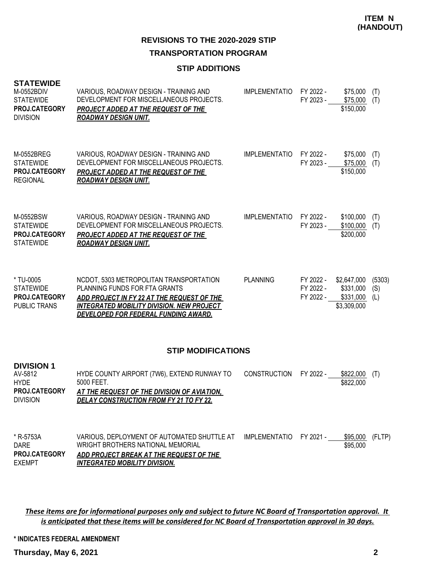**TRANSPORTATION PROGRAM**

## **STIP ADDITIONS**

| <b>STATEWIDE</b><br>M-0552BDIV<br><b>STATEWIDE</b><br>PROJ.CATEGORY<br><b>DIVISION</b> | VARIOUS, ROADWAY DESIGN - TRAINING AND<br>DEVELOPMENT FOR MISCELLANEOUS PROJECTS.<br><b>PROJECT ADDED AT THE REQUEST OF THE</b><br><b>ROADWAY DESIGN UNIT.</b>                                                     | <b>IMPLEMENTATIO</b> | FY 2022 -<br>FY 2023 -              | \$75,000<br>\$75,000<br>\$150,000                    | (T)<br>(T)           |
|----------------------------------------------------------------------------------------|--------------------------------------------------------------------------------------------------------------------------------------------------------------------------------------------------------------------|----------------------|-------------------------------------|------------------------------------------------------|----------------------|
| M-0552BREG<br><b>STATEWIDE</b><br>PROJ.CATEGORY<br><b>REGIONAL</b>                     | VARIOUS, ROADWAY DESIGN - TRAINING AND<br>DEVELOPMENT FOR MISCELLANEOUS PROJECTS.<br><b>PROJECT ADDED AT THE REQUEST OF THE</b><br><b>ROADWAY DESIGN UNIT.</b>                                                     | <b>IMPLEMENTATIO</b> | FY 2022 -<br>FY 2023 -              | \$75.000<br>\$75,000<br>\$150,000                    | (T)<br>(T)           |
| M-0552BSW<br><b>STATEWIDE</b><br><b>PROJ.CATEGORY</b><br><b>STATEWIDE</b>              | VARIOUS, ROADWAY DESIGN - TRAINING AND<br>DEVELOPMENT FOR MISCELLANEOUS PROJECTS.<br><b>PROJECT ADDED AT THE REQUEST OF THE</b><br><b>ROADWAY DESIGN UNIT.</b>                                                     | <b>IMPLEMENTATIO</b> | FY 2022 -<br>FY 2023 -              | \$100,000<br>\$100,000<br>\$200,000                  | (T)<br>(T)           |
| * TU-0005<br><b>STATEWIDE</b><br><b>PROJ.CATEGORY</b><br><b>PUBLIC TRANS</b>           | NCDOT, 5303 METROPOLITAN TRANSPORTATION<br>PLANNING FUNDS FOR FTA GRANTS<br>ADD PROJECT IN FY 22 AT THE REQUEST OF THE<br><b>INTEGRATED MOBILITY DIVISION. NEW PROJECT</b><br>DEVELOPED FOR FEDERAL FUNDING AWARD. | <b>PLANNING</b>      | FY 2022 -<br>FY 2022 -<br>FY 2022 - | \$2,647,000<br>\$331,000<br>\$331,000<br>\$3,309,000 | (5303)<br>(S)<br>(L) |

# **STIP MODIFICATIONS**

| <b>DIVISION 1</b><br>AV-5812<br><b>HYDE</b><br><b>PROJ.CATEGORY</b><br><b>DIVISION</b> | HYDE COUNTY AIRPORT (7W6), EXTEND RUNWAY TO<br>5000 FEET.<br><u>AT THE REQUEST OF THE DIVISION OF AVIATION.</u><br><u>DELAY CONSTRUCTION FROM FY 21 TO FY 22.</u>   | <b>CONSTRUCTION</b>  | FY 2022 - | \$822,000<br>\$822,000 | (T)    |
|----------------------------------------------------------------------------------------|---------------------------------------------------------------------------------------------------------------------------------------------------------------------|----------------------|-----------|------------------------|--------|
| * R-5753A<br><b>DARE</b><br>PROJ.CATEGORY<br><b>EXEMPT</b>                             | VARIOUS, DEPLOYMENT OF AUTOMATED SHUTTLE AT<br>WRIGHT BROTHERS NATIONAL MEMORIAL<br>ADD PROJECT BREAK AT THE REQUEST OF THE<br><u>INTEGRATED MOBILITY DIVISION.</u> | <b>IMPLEMENTATIO</b> | FY 2021 - | \$95,000<br>\$95,000   | (FLTP) |

*These items are for informational purposes only and subject to future NC Board of Transportation approval. It is anticipated that these items will be considered for NC Board of Transportation approval in 30 days.*

**\* INDICATES FEDERAL AMENDMENT**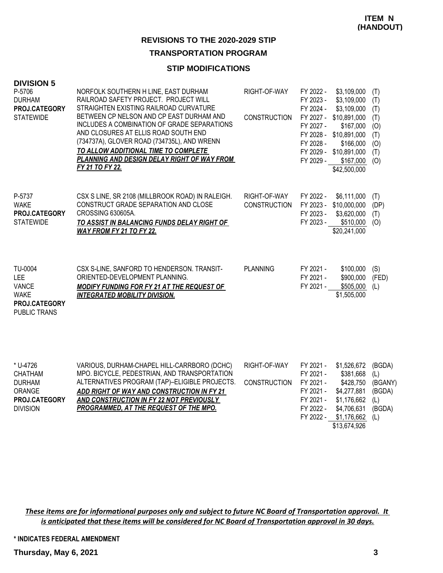#### **TRANSPORTATION PROGRAM**

#### **STIP MODIFICATIONS**

| <b>DIVISION 5</b><br>P-5706<br><b>DURHAM</b><br>PROJ.CATEGORY<br><b>STATEWIDE</b>            | NORFOLK SOUTHERN H LINE, EAST DURHAM<br>RAILROAD SAFETY PROJECT. PROJECT WILL<br>STRAIGHTEN EXISTING RAILROAD CURVATURE<br>BETWEEN CP NELSON AND CP EAST DURHAM AND<br>INCLUDES A COMBINATION OF GRADE SEPARATIONS<br>AND CLOSURES AT ELLIS ROAD SOUTH END<br>(734737A), GLOVER ROAD (734735L), AND WRENN<br>TO ALLOW ADDITIONAL TIME TO COMPLETE<br>PLANNING AND DESIGN DELAY RIGHT OF WAY FROM<br>FY 21 TO FY 22. | RIGHT-OF-WAY<br><b>CONSTRUCTION</b> | FY 2022 -<br>FY 2023 -<br>FY 2024 -<br>FY 2027 -<br>FY 2028 -<br>FY 2029 - | \$3,109,000<br>\$3,109,000<br>\$3,109,000<br>FY 2027 - \$10,891,000<br>\$167,000<br>FY 2028 - \$10,891,000<br>\$166,000<br>FY 2029 - \$10,891,000<br>\$167,000<br>\$42,500,000 | (T)<br>(T)<br>(T)<br>(T)<br>(O)<br>(T)<br>(O)<br>(T)<br>(O) |
|----------------------------------------------------------------------------------------------|---------------------------------------------------------------------------------------------------------------------------------------------------------------------------------------------------------------------------------------------------------------------------------------------------------------------------------------------------------------------------------------------------------------------|-------------------------------------|----------------------------------------------------------------------------|--------------------------------------------------------------------------------------------------------------------------------------------------------------------------------|-------------------------------------------------------------|
| P-5737<br><b>WAKE</b><br>PROJ.CATEGORY<br><b>STATEWIDE</b>                                   | CSX S LINE, SR 2108 (MILLBROOK ROAD) IN RALEIGH.<br>CONSTRUCT GRADE SEPARATION AND CLOSE<br>CROSSING 630605A.<br>TO ASSIST IN BALANCING FUNDS DELAY RIGHT OF<br><b>WAY FROM FY 21 TO FY 22.</b>                                                                                                                                                                                                                     | RIGHT-OF-WAY<br><b>CONSTRUCTION</b> | FY 2022 -<br>FY 2023 -<br>FY 2023 -                                        | \$6,111,000<br>FY 2023 - \$10,000,000<br>\$3,620,000<br>\$510,000<br>\$20,241,000                                                                                              | (T)<br>(DP)<br>(T)<br>(O)                                   |
| TU-0004<br><b>LEE</b><br><b>VANCE</b><br><b>WAKE</b><br>PROJ.CATEGORY<br><b>PUBLIC TRANS</b> | CSX S-LINE, SANFORD TO HENDERSON. TRANSIT-<br>ORIENTED-DEVELOPMENT PLANNING.<br><b>MODIFY FUNDING FOR FY 21 AT THE REQUEST OF</b><br><b>INTEGRATED MOBILITY DIVISION.</b>                                                                                                                                                                                                                                           | <b>PLANNING</b>                     | FY 2021 -<br>FY 2021 -<br>FY 2021 -                                        | \$100,000<br>\$900,000<br>\$505,000<br>\$1,505,000                                                                                                                             | (S)<br>(FED)<br>(L)                                         |
| * U-4726<br><b>CHATHAM</b><br><b>DURHAM</b>                                                  | VARIOUS, DURHAM-CHAPEL HILL-CARRBORO (DCHC)<br>MPO. BICYCLE, PEDESTRIAN, AND TRANSPORTATION<br>ALTERNATIVES PROGRAM (TAP)-ELIGIBLE PROJECTS.                                                                                                                                                                                                                                                                        | RIGHT-OF-WAY<br><b>CONSTRUCTION</b> | FY 2021 -<br>FY 2021 -<br>FY 2021 -                                        | \$1,526,672<br>\$381,668<br>\$428,750                                                                                                                                          | (BGDA)<br>(L)<br>(BGAN)                                     |

*ADD RIGHT OF WAY AND CONSTRUCTION IN FY 21 AND CONSTRUCTION IN FY 22 NOT PREVIOUSLY*  **PROJ.CATEGORY** *PROGRAMMED, AT THE REQUEST OF THE MPO.* ORANGE DIVISION

ALTERNATIVES PROGRAM (TAP)–ELIGIBLE PROJECTS. CONSTRUCTION FY 2021 - \$428,750 (BGANY) FY 2021 - \$4,277,881 (BGDA) FY 2021 - \$1,176,662 (L) FY 2022 - \$4,706,631 (BGDA) FY 2022 - \$1,176,662 (L) \$13,674,926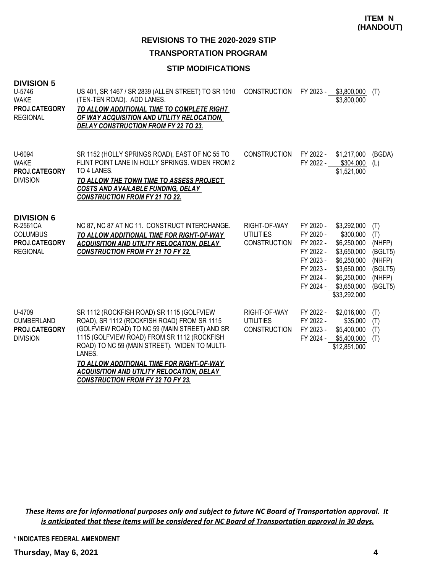# **TRANSPORTATION PROGRAM**

# **STIP MODIFICATIONS**

| <b>DIVISION 5</b> |  |
|-------------------|--|
|-------------------|--|

| U-5746<br><b>WAKE</b><br>PROJ.CATEGORY<br><b>REGIONAL</b>                            | US 401, SR 1467 / SR 2839 (ALLEN STREET) TO SR 1010<br>(TEN-TEN ROAD). ADD LANES.<br>TO ALLOW ADDITIONAL TIME TO COMPLETE RIGHT<br>OF WAY ACQUISITION AND UTILITY RELOCATION,<br><b>DELAY CONSTRUCTION FROM FY 22 TO 23.</b>                                                                                                                                                                     | <b>CONSTRUCTION</b>                                     |                                                                                                      | FY 2023 - \$3,800,000<br>\$3,800,000                                                                                               | (T)                                                                       |
|--------------------------------------------------------------------------------------|--------------------------------------------------------------------------------------------------------------------------------------------------------------------------------------------------------------------------------------------------------------------------------------------------------------------------------------------------------------------------------------------------|---------------------------------------------------------|------------------------------------------------------------------------------------------------------|------------------------------------------------------------------------------------------------------------------------------------|---------------------------------------------------------------------------|
| U-6094<br><b>WAKE</b><br>PROJ.CATEGORY<br><b>DIVISION</b>                            | SR 1152 (HOLLY SPRINGS ROAD), EAST OF NC 55 TO<br>FLINT POINT LANE IN HOLLY SPRINGS, WIDEN FROM 2<br>TO 4 LANES.<br>TO ALLOW THE TOWN TIME TO ASSESS PROJECT<br>COSTS AND AVAILABLE FUNDING, DELAY<br><b>CONSTRUCTION FROM FY 21 TO 22.</b>                                                                                                                                                      | <b>CONSTRUCTION</b>                                     | FY 2022 -<br>FY 2022 -                                                                               | \$1,217,000<br>\$304,000<br>\$1,521,000                                                                                            | (BGDA)<br>(L)                                                             |
| <b>DIVISION 6</b><br>R-2561CA<br><b>COLUMBUS</b><br>PROJ.CATEGORY<br><b>REGIONAL</b> | NC 87, NC 87 AT NC 11. CONSTRUCT INTERCHANGE.<br>TO ALLOW ADDITIONAL TIME FOR RIGHT-OF-WAY<br><b>ACQUISITION AND UTILITY RELOCATION, DELAY</b><br><b>CONSTRUCTION FROM FY 21 TO FY 22.</b>                                                                                                                                                                                                       | RIGHT-OF-WAY<br><b>UTILITIES</b><br><b>CONSTRUCTION</b> | FY 2020 -<br>FY 2020 -<br>FY 2022 -<br>FY 2022 -<br>FY 2023 -<br>FY 2023 -<br>FY 2024 -<br>FY 2024 - | \$3,292,000<br>\$300,000<br>\$6,250,000<br>\$3,650,000<br>\$6,250,000<br>\$3,650,000<br>\$6,250,000<br>\$3,650,000<br>\$33,292,000 | (T)<br>(T)<br>(NHFP)<br>(BGLT5)<br>(NHFP)<br>(BGLT5)<br>(NHFP)<br>(BGLT5) |
| U-4709<br><b>CUMBERLAND</b><br>PROJ.CATEGORY<br><b>DIVISION</b>                      | SR 1112 (ROCKFISH ROAD) SR 1115 (GOLFVIEW<br>ROAD), SR 1112 (ROCKFISH ROAD) FROM SR 1115<br>(GOLFVIEW ROAD) TO NC 59 (MAIN STREET) AND SR<br>1115 (GOLFVIEW ROAD) FROM SR 1112 (ROCKFISH<br>ROAD) TO NC 59 (MAIN STREET). WIDEN TO MULTI-<br>LANES.<br>TO ALLOW ADDITIONAL TIME FOR RIGHT-OF-WAY<br><b>ACQUISITION AND UTILITY RELOCATION, DELAY</b><br><b>CONSTRUCTION FROM FY 22 TO FY 23.</b> | RIGHT-OF-WAY<br><b>UTILITIES</b><br><b>CONSTRUCTION</b> | FY 2022 -<br>FY 2022 -<br>FY 2023 -                                                                  | \$2,016,000<br>\$35,000<br>\$5,400,000<br>FY 2024 - \$5,400,000<br>\$12,851,000                                                    | (T)<br>(T)<br>(T)<br>(T)                                                  |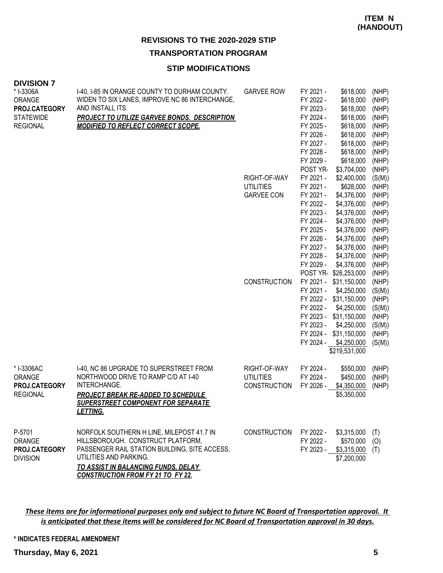# **TRANSPORTATION PROGRAM**

## **STIP MODIFICATIONS**

| <b>DIVISION 7</b> |  |
|-------------------|--|
|-------------------|--|

| * I-3306A<br>ORANGE<br>PROJ.CATEGORY<br><b>STATEWIDE</b><br><b>REGIONAL</b> | I-40, I-85 IN ORANGE COUNTY TO DURHAM COUNTY.<br>WIDEN TO SIX LANES, IMPROVE NC 86 INTERCHANGE,<br>AND INSTALL ITS.<br><b>PROJECT TO UTILIZE GARVEE BONDS. DESCRIPTION</b><br><b>MODIFIED TO REFLECT CORRECT SCOPE.</b>                             | <b>GARVEE ROW</b>                                     | FY 2021 -<br>FY 2022 -<br>FY 2023 -<br>FY 2024 -<br>FY 2025 -<br>FY 2026 -<br>FY 2027 -<br>FY 2028 - | \$618,000<br>\$618,000<br>\$618,000<br>\$618,000<br>\$618,000<br>\$618,000<br>\$618,000<br>\$618,000                                                          | (NHP)<br>(NHP)<br>(NHP)<br>(NHP)<br>(NHP)<br>(NHP)<br>(NHP)<br>(NHP)     |
|-----------------------------------------------------------------------------|-----------------------------------------------------------------------------------------------------------------------------------------------------------------------------------------------------------------------------------------------------|-------------------------------------------------------|------------------------------------------------------------------------------------------------------|---------------------------------------------------------------------------------------------------------------------------------------------------------------|--------------------------------------------------------------------------|
|                                                                             |                                                                                                                                                                                                                                                     | RIGHT-OF-WAY<br><b>UTILITIES</b><br><b>GARVEE CON</b> | FY 2029 -<br>POST YR-<br>FY 2021 -<br>FY 2021 -<br>FY 2021 -<br>FY 2022 -<br>FY 2023 -<br>FY 2024 -  | \$618,000<br>\$3,704,000<br>\$2,400,000<br>\$628,000<br>\$4,376,000<br>\$4,376,000<br>\$4,376,000<br>\$4,376,000                                              | (NHP)<br>(NHP)<br>(S(M))<br>(NHP)<br>(NHP)<br>(NHP)<br>(NHP)<br>(NHP)    |
|                                                                             |                                                                                                                                                                                                                                                     |                                                       | FY 2025 -<br>FY 2026 -<br>FY 2027 -<br>FY 2028 -<br>FY 2029 -                                        | \$4,376,000<br>\$4,376,000<br>\$4,376,000<br>\$4,376,000<br>\$4,376,000<br>POST YR-\$26,253,000                                                               | (NHP)<br>(NHP)<br>(NHP)<br>(NHP)<br>(NHP)<br>(NHP)                       |
|                                                                             |                                                                                                                                                                                                                                                     | <b>CONSTRUCTION</b>                                   | FY 2021 -<br>FY 2021 -<br>FY 2022 -<br>FY 2023 -<br>FY 2024 -<br>FY 2024 -                           | \$31,150,000<br>\$4,250,000<br>FY 2022 - \$31,150,000<br>\$4,250,000<br>FY 2023 - \$31,150,000<br>\$4,250,000<br>\$31,150,000<br>\$4,250,000<br>\$219,531,000 | (NHP)<br>(S(M))<br>(NHP)<br>(S(M))<br>(NHP)<br>(S(M))<br>(NHP)<br>(S(M)) |
| * I-3306AC<br>ORANGE<br>PROJ.CATEGORY<br><b>REGIONAL</b>                    | 1-40, NC 86 UPGRADE TO SUPERSTREET FROM<br>NORTHWOOD DRIVE TO RAMP C/D AT I-40<br>INTERCHANGE.<br><b>PROJECT BREAK RE-ADDED TO SCHEDULE</b><br><b>SUPERSTREET COMPONENT FOR SEPARATE</b><br>LETTING.                                                | RIGHT-OF-WAY<br><b>UTILITIES</b><br>CONSTRUCTION      | FY 2024 -<br>FY 2024 -<br>FY 2026 -                                                                  | \$550,000<br>\$450,000<br>\$4,350,000<br>\$5,350,000                                                                                                          | (NHP)<br>(NHP)<br>(NHP)                                                  |
| P-5701<br>ORANGE<br>PROJ.CATEGORY<br><b>DIVISION</b>                        | NORFOLK SOUTHERN H LINE, MILEPOST 41.7 IN<br>HILLSBOROUGH. CONSTRUCT PLATFORM,<br>PASSENGER RAIL STATION BUILDING, SITE ACCESS,<br>UTILITIES AND PARKING.<br><b>TO ASSIST IN BALANCING FUNDS, DELAY</b><br><b>CONSTRUCTION FROM FY 21 TO FY 22.</b> | <b>CONSTRUCTION</b>                                   | FY 2022 -<br>FY 2022 -                                                                               | \$3,315,000<br>$$570,000$ (O)<br>$FY 2023 - $3,315,000$ (T)<br>\$7,200,000                                                                                    | (T)                                                                      |

*These items are for informational purposes only and subject to future NC Board of Transportation approval. It is anticipated that these items will be considered for NC Board of Transportation approval in 30 days.*

#### **\* INDICATES FEDERAL AMENDMENT**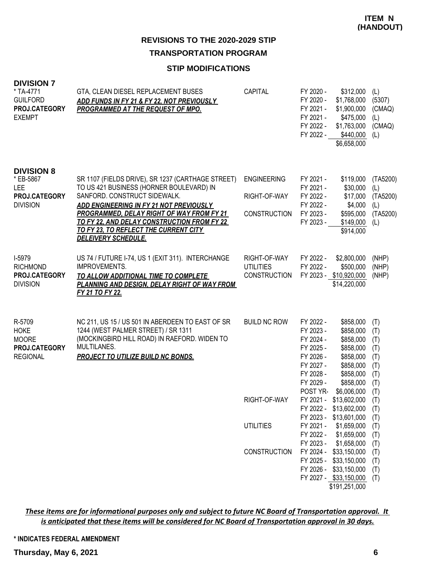# **TRANSPORTATION PROGRAM**

# **STIP MODIFICATIONS**

| <b>DIVISION 7</b><br>* TA-4771<br><b>GUILFORD</b><br>PROJ.CATEGORY<br><b>EXEMPT</b> | GTA, CLEAN DIESEL REPLACEMENT BUSES<br>ADD FUNDS IN FY 21 & FY 22, NOT PREVIOUSLY<br>PROGRAMMED AT THE REQUEST OF MPO.                                                                                                                                                                                                                      | <b>CAPITAL</b>                                            | FY 2020 -<br>\$312,000<br>FY 2020 -<br>\$1,768,000<br>FY 2021 -<br>\$1,900,000<br>FY 2021 -<br>\$475,000<br>FY 2022 -<br>\$1,763,000<br>FY 2022 -<br>\$440,000<br>\$6,658,000                                                           | (L)<br>(5307)<br>(CMAQ)<br>(L)<br>(CMAQ)<br>(L)             |
|-------------------------------------------------------------------------------------|---------------------------------------------------------------------------------------------------------------------------------------------------------------------------------------------------------------------------------------------------------------------------------------------------------------------------------------------|-----------------------------------------------------------|-----------------------------------------------------------------------------------------------------------------------------------------------------------------------------------------------------------------------------------------|-------------------------------------------------------------|
| <b>DIVISION 8</b><br>* EB-5867<br>LEE<br>PROJ.CATEGORY<br><b>DIVISION</b>           | SR 1107 (FIELDS DRIVE), SR 1237 (CARTHAGE STREET)<br>TO US 421 BUSINESS (HORNER BOULEVARD) IN<br>SANFORD. CONSTRUCT SIDEWALK.<br>ADD ENGINEERING IN FY 21 NOT PREVIOUSLY<br>PROGRAMMED, DELAY RIGHT OF WAY FROM FY 21<br>TO FY 22, AND DELAY CONSTRUCTION FROM FY 22<br>TO FY 23, TO REFLECT THE CURRENT CITY<br><b>DELEIVERY SCHEDULE.</b> | <b>ENGINEERING</b><br>RIGHT-OF-WAY<br><b>CONSTRUCTION</b> | FY 2021 -<br>\$119,000<br>FY 2021 -<br>\$30,000<br>FY 2022 -<br>\$17,000<br>FY 2022 -<br>\$4,000<br>FY 2023 -<br>\$595,000<br>FY 2023 -<br>\$149,000<br>\$914,000                                                                       | (TA5200)<br>(L)<br>(TA5200)<br>(L)<br>(TA5200)<br>(L)       |
| I-5979<br><b>RICHMOND</b><br><b>PROJ.CATEGORY</b><br><b>DIVISION</b>                | US 74 / FUTURE I-74, US 1 (EXIT 311). INTERCHANGE<br><b>IMPROVEMENTS.</b><br>TO ALLOW ADDITIONAL TIME TO COMPLETE<br>PLANNING AND DESIGN, DELAY RIGHT OF WAY FROM<br>FY 21 TO FY 22.                                                                                                                                                        | RIGHT-OF-WAY<br><b>UTILITIES</b><br><b>CONSTRUCTION</b>   | FY 2022 -<br>\$2,800,000<br>FY 2022 -<br>\$500,000<br>FY 2023 - \$10,920,000<br>\$14,220,000                                                                                                                                            | (NHP)<br>(NHP)<br>(NHP)                                     |
| R-5709<br><b>HOKE</b><br><b>MOORE</b><br>PROJ.CATEGORY<br><b>REGIONAL</b>           | NC 211, US 15 / US 501 IN ABERDEEN TO EAST OF SR<br>1244 (WEST PALMER STREET) / SR 1311<br>(MOCKINGBIRD HILL ROAD) IN RAEFORD. WIDEN TO<br>MULTILANES.<br><b>PROJECT TO UTILIZE BUILD NC BONDS.</b>                                                                                                                                         | <b>BUILD NC ROW</b>                                       | FY 2022 -<br>\$858,000<br>\$858,000<br>FY 2023 -<br>FY 2024 -<br>\$858,000<br>FY 2025 -<br>\$858,000<br>FY 2026 -<br>\$858,000<br>FY 2027 -<br>\$858,000<br>FY 2028 -<br>\$858,000<br>FY 2029 -<br>\$858,000<br>POST YR-<br>\$6,006,000 | (T)<br>(T)<br>(T)<br>(T)<br>(T)<br>(T)<br>(T)<br>(T)<br>(T) |
|                                                                                     |                                                                                                                                                                                                                                                                                                                                             | RIGHT-OF-WAY                                              | FY 2021 -<br>\$13,602,000<br>FY 2022 - \$13,602,000<br>FY 2023 - \$13,601,000                                                                                                                                                           | (T)<br>(T)<br>(T)                                           |
|                                                                                     |                                                                                                                                                                                                                                                                                                                                             | <b>UTILITIES</b>                                          | FY 2021 -<br>\$1,659,000<br>FY 2022 -<br>\$1,659,000<br>FY 2023 -<br>\$1,658,000                                                                                                                                                        | (T)<br>(T)<br>(T)                                           |
|                                                                                     |                                                                                                                                                                                                                                                                                                                                             | CONSTRUCTION                                              | FY 2024 - \$33,150,000<br>FY 2025 - \$33,150,000<br>FY 2026 - \$33,150,000<br>FY 2027 - \$33,150,000<br>\$191,251,000                                                                                                                   | (T)<br>(T)<br>(T)<br>(T)                                    |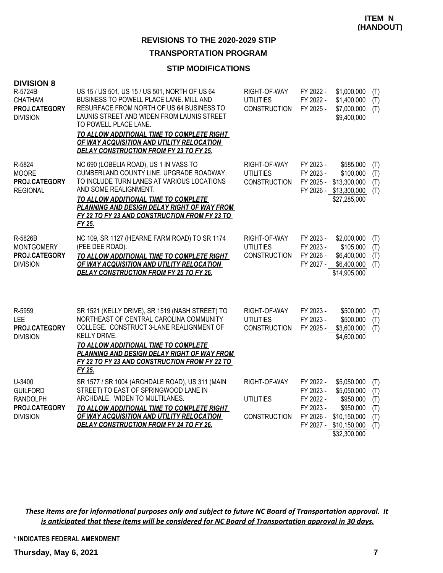# **TRANSPORTATION PROGRAM**

## **STIP MODIFICATIONS**

| <b>DIVISION 8</b><br>R-5724B<br><b>CHATHAM</b><br>PROJ.CATEGORY<br><b>DIVISION</b> | US 15 / US 501, US 15 / US 501, NORTH OF US 64<br>BUSINESS TO POWELL PLACE LANE. MILL AND<br>RESURFACE FROM NORTH OF US 64 BUSINESS TO<br>LAUNIS STREET AND WIDEN FROM LAUNIS STREET<br>TO POWELL PLACE LANE.<br>TO ALLOW ADDITIONAL TIME TO COMPLETE RIGHT<br>OF WAY ACQUISITION AND UTILITY RELOCATION<br><b>DELAY CONSTRUCTION FROM FY 23 TO FY 25.</b> | RIGHT-OF-WAY<br><b>UTILITIES</b><br><b>CONSTRUCTION</b> | FY 2022 -<br>FY 2022 -<br>FY 2025 -                                        | \$1,000,000<br>\$1,400,000<br>\$7,000,000<br>\$9,400,000                                             | (T)<br>(T)<br>(T)                      |
|------------------------------------------------------------------------------------|------------------------------------------------------------------------------------------------------------------------------------------------------------------------------------------------------------------------------------------------------------------------------------------------------------------------------------------------------------|---------------------------------------------------------|----------------------------------------------------------------------------|------------------------------------------------------------------------------------------------------|----------------------------------------|
| R-5824<br><b>MOORE</b><br>PROJ.CATEGORY<br><b>REGIONAL</b>                         | NC 690 (LOBELIA ROAD), US 1 IN VASS TO<br>CUMBERLAND COUNTY LINE. UPGRADE ROADWAY,<br>TO INCLUDE TURN LANES AT VARIOUS LOCATIONS<br>AND SOME REALIGNMENT.<br>TO ALLOW ADDITIONAL TIME TO COMPLETE<br>PLANNING AND DESIGN DELAY RIGHT OF WAY FROM<br>FY 22 TO FY 23 AND CONSTRUCTION FROM FY 23 TO<br>FY 25.                                                | RIGHT-OF-WAY<br>UTILITIES<br><b>CONSTRUCTION</b>        | FY 2023 -<br>FY 2023 -<br>FY 2025 -                                        | \$585,000<br>\$100,000<br>\$13,300,000<br>FY 2026 - \$13,300,000<br>\$27,285,000                     | (T)<br>(T)<br>(T)<br>(T)               |
| R-5826B<br><b>MONTGOMERY</b><br>PROJ.CATEGORY<br><b>DIVISION</b>                   | NC 109, SR 1127 (HEARNE FARM ROAD) TO SR 1174<br>(PEE DEE ROAD).<br>TO ALLOW ADDITIONAL TIME TO COMPLETE RIGHT<br>OF WAY ACQUISITION AND UTILITY RELOCATION<br><b>DELAY CONSTRUCTION FROM FY 25 TO FY 26.</b>                                                                                                                                              | RIGHT-OF-WAY<br><b>UTILITIES</b><br><b>CONSTRUCTION</b> | FY 2023 -<br>FY 2023 -<br>FY 2026 -<br>FY 2027 -                           | \$2,000,000<br>\$105,000<br>\$6,400,000<br>\$6,400,000<br>\$14,905,000                               | (T)<br>(T)<br>(T)<br>(T)               |
| R-5959<br>LEE<br>PROJ.CATEGORY<br><b>DIVISION</b>                                  | SR 1521 (KELLY DRIVE), SR 1519 (NASH STREET) TO<br>NORTHEAST OF CENTRAL CAROLINA COMMUNITY<br>COLLEGE. CONSTRUCT 3-LANE REALIGNMENT OF<br>KELLY DRIVE.<br>TO ALLOW ADDITIONAL TIME TO COMPLETE<br>PLANNING AND DESIGN DELAY RIGHT OF WAY FROM<br>FY 22 TO FY 23 AND CONSTRUCTION FROM FY 22 TO<br>FY 25.                                                   | RIGHT-OF-WAY<br><b>UTILITIES</b><br><b>CONSTRUCTION</b> | FY 2023 -<br>FY 2023 -<br>FY 2025 -                                        | \$500,000<br>\$500,000<br>\$3,600,000<br>\$4,600,000                                                 | (T)<br>(T)<br>(T)                      |
| U-3400<br><b>GUILFORD</b><br><b>RANDOLPH</b><br>PROJ.CATEGORY<br><b>DIVISION</b>   | SR 1577 / SR 1004 (ARCHDALE ROAD), US 311 (MAIN<br>STREET) TO EAST OF SPRINGWOOD LANE IN<br>ARCHDALE. WIDEN TO MULTILANES.<br>TO ALLOW ADDITIONAL TIME TO COMPLETE RIGHT<br>OF WAY ACQUISITION AND UTILITY RELOCATION<br><b>DELAY CONSTRUCTION FROM FY 24 TO FY 26.</b>                                                                                    | RIGHT-OF-WAY<br><b>UTILITIES</b><br><b>CONSTRUCTION</b> | FY 2022 -<br>FY 2023 -<br>FY 2022 -<br>FY 2023 -<br>FY 2026 -<br>FY 2027 - | \$5,050,000<br>\$5,050,000<br>\$950,000<br>\$950,000<br>\$10,150,000<br>\$10,150,000<br>\$32,300,000 | (T)<br>(T)<br>(T)<br>(T)<br>(T)<br>(T) |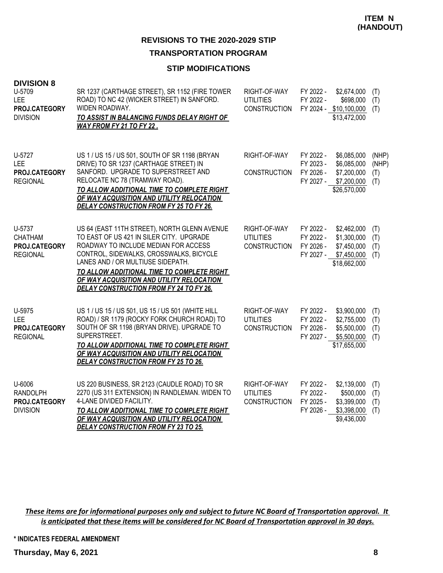# **TRANSPORTATION PROGRAM**

# **STIP MODIFICATIONS**

| <b>DIVISION 8</b><br>U-5709<br><b>LEE</b><br>PROJ.CATEGORY<br><b>DIVISION</b> | SR 1237 (CARTHAGE STREET), SR 1152 (FIRE TOWER<br>ROAD) TO NC 42 (WICKER STREET) IN SANFORD.<br>WIDEN ROADWAY.<br>TO ASSIST IN BALANCING FUNDS DELAY RIGHT OF<br>WAY FROM FY 21 TO FY 22.                                                                                                                                                                     | RIGHT-OF-WAY<br><b>UTILITIES</b><br><b>CONSTRUCTION</b> | FY 2022 -<br>\$2,674,000<br>FY 2022 -<br>\$698,000<br>FY 2024 - \$10,100,000<br>\$13,472,000                                 | (T)<br>(T)<br>(T)            |
|-------------------------------------------------------------------------------|---------------------------------------------------------------------------------------------------------------------------------------------------------------------------------------------------------------------------------------------------------------------------------------------------------------------------------------------------------------|---------------------------------------------------------|------------------------------------------------------------------------------------------------------------------------------|------------------------------|
| U-5727<br>LEE<br>PROJ.CATEGORY<br><b>REGIONAL</b>                             | US 1 / US 15 / US 501, SOUTH OF SR 1198 (BRYAN<br>DRIVE) TO SR 1237 (CARTHAGE STREET) IN<br>SANFORD. UPGRADE TO SUPERSTREET AND<br>RELOCATE NC 78 (TRAMWAY ROAD).<br>TO ALLOW ADDITIONAL TIME TO COMPLETE RIGHT<br>OF WAY ACQUISITION AND UTILITY RELOCATION<br><b>DELAY CONSTRUCTION FROM FY 25 TO FY 26.</b>                                                | RIGHT-OF-WAY<br><b>CONSTRUCTION</b>                     | FY 2022 -<br>\$6,085,000<br>FY 2023 -<br>\$6,085,000<br>FY 2026 -<br>\$7,200,000<br>\$7,200,000<br>FY 2027 -<br>\$26,570,000 | (NHP)<br>(NHP)<br>(T)<br>(T) |
| U-5737<br><b>CHATHAM</b><br>PROJ.CATEGORY<br><b>REGIONAL</b>                  | US 64 (EAST 11TH STREET), NORTH GLENN AVENUE<br>TO EAST OF US 421 IN SILER CITY. UPGRADE<br>ROADWAY TO INCLUDE MEDIAN FOR ACCESS<br>CONTROL, SIDEWALKS, CROSSWALKS, BICYCLE<br>LANES AND / OR MULTIUSE SIDEPATH.<br>TO ALLOW ADDITIONAL TIME TO COMPLETE RIGHT<br>OF WAY ACQUISITION AND UTILITY RELOCATION<br><b>DELAY CONSTRUCTION FROM FY 24 TO FY 26.</b> | RIGHT-OF-WAY<br><b>UTILITIES</b><br><b>CONSTRUCTION</b> | FY 2022 -<br>\$2,462,000<br>FY 2022 -<br>\$1,300,000<br>FY 2026 -<br>\$7,450,000<br>FY 2027 -<br>\$7,450,000<br>\$18,662,000 | (T)<br>(T)<br>(T)<br>(T)     |
| U-5975<br><b>LEE</b><br>PROJ.CATEGORY<br><b>REGIONAL</b>                      | US 1 / US 15 / US 501, US 15 / US 501 (WHITE HILL<br>ROAD) / SR 1179 (ROCKY FORK CHURCH ROAD) TO<br>SOUTH OF SR 1198 (BRYAN DRIVE). UPGRADE TO<br>SUPERSTREET.<br>TO ALLOW ADDITIONAL TIME TO COMPLETE RIGHT<br>OF WAY ACQUISITION AND UTILITY RELOCATION<br><b>DELAY CONSTRUCTION FROM FY 25 TO 26.</b>                                                      | RIGHT-OF-WAY<br><b>UTILITIES</b><br><b>CONSTRUCTION</b> | FY 2022 -<br>\$3,900,000<br>FY 2022 -<br>\$2,755,000<br>FY 2026 -<br>\$5,500,000<br>FY 2027 -<br>\$5,500,000<br>\$17,655,000 | (T)<br>(T)<br>(T)<br>(T)     |
| U-6006<br><b>RANDOLPH</b><br>PROJ.CATEGORY<br><b>DIVISION</b>                 | US 220 BUSINESS, SR 2123 (CAUDLE ROAD) TO SR<br>2270 (US 311 EXTENSION) IN RANDLEMAN. WIDEN TO<br>4-LANE DIVIDED FACILITY.<br>TO ALLOW ADDITIONAL TIME TO COMPLETE RIGHT<br>OF WAY ACQUISITION AND UTILITY RELOCATION<br><b>DELAY CONSTRUCTION FROM FY 23 TO 25.</b>                                                                                          | RIGHT-OF-WAY<br><b>UTILITIES</b><br><b>CONSTRUCTION</b> | FY 2022 -<br>\$2,139,000<br>FY 2022 -<br>\$500,000<br>FY 2025 -<br>\$3,399,000<br>FY 2026 -<br>\$3,398,000<br>\$9,436,000    | (T)<br>(T)<br>(T)<br>(T)     |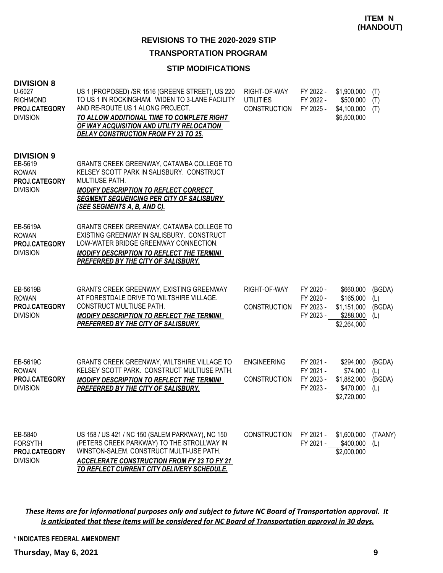# **TRANSPORTATION PROGRAM**

# **STIP MODIFICATIONS**

| <b>DIVISION 8</b><br>U-6027<br><b>RICHMOND</b><br>PROJ.CATEGORY<br><b>DIVISION</b> | US 1 (PROPOSED) /SR 1516 (GREENE STREET), US 220<br>TO US 1 IN ROCKINGHAM. WIDEN TO 3-LANE FACILITY<br>AND RE-ROUTE US 1 ALONG PROJECT.<br>TO ALLOW ADDITIONAL TIME TO COMPLETE RIGHT<br>OF WAY ACQUISITION AND UTILITY RELOCATION<br><b>DELAY CONSTRUCTION FROM FY 23 TO 25.</b> | RIGHT-OF-WAY<br><b>UTILITIES</b><br><b>CONSTRUCTION</b> | FY 2022 -<br>FY 2022 -<br>FY 2025 -              | \$1,900,000<br>\$500,000<br>\$4,100,000<br>\$6,500,000            | (T)<br>(T)<br>(T)              |
|------------------------------------------------------------------------------------|-----------------------------------------------------------------------------------------------------------------------------------------------------------------------------------------------------------------------------------------------------------------------------------|---------------------------------------------------------|--------------------------------------------------|-------------------------------------------------------------------|--------------------------------|
| <b>DIVISION 9</b><br>EB-5619<br><b>ROWAN</b><br>PROJ.CATEGORY<br><b>DIVISION</b>   | GRANTS CREEK GREENWAY, CATAWBA COLLEGE TO<br>KELSEY SCOTT PARK IN SALISBURY. CONSTRUCT<br><b>MULTIUSE PATH.</b><br><b>MODIFY DESCRIPTION TO REFLECT CORRECT</b><br><b>SEGMENT SEQUENCING PER CITY OF SALISBURY</b><br><u>(SEE SEGMENTS A, B, AND C).</u>                          |                                                         |                                                  |                                                                   |                                |
| EB-5619A<br><b>ROWAN</b><br>PROJ.CATEGORY<br><b>DIVISION</b>                       | GRANTS CREEK GREENWAY, CATAWBA COLLEGE TO<br>EXISTING GREENWAY IN SALISBURY. CONSTRUCT<br>LOW-WATER BRIDGE GREENWAY CONNECTION.<br><b>MODIFY DESCRIPTION TO REFLECT THE TERMINI</b><br>PREFERRED BY THE CITY OF SALISBURY.                                                        |                                                         |                                                  |                                                                   |                                |
| EB-5619B<br><b>ROWAN</b><br>PROJ.CATEGORY<br><b>DIVISION</b>                       | GRANTS CREEK GREENWAY, EXISTING GREENWAY<br>AT FORESTDALE DRIVE TO WILTSHIRE VILLAGE.<br>CONSTRUCT MULTIUSE PATH.<br><b>MODIFY DESCRIPTION TO REFLECT THE TERMINI</b><br>PREFERRED BY THE CITY OF SALISBURY.                                                                      | RIGHT-OF-WAY<br><b>CONSTRUCTION</b>                     | FY 2020 -<br>FY 2020 -<br>FY 2023 -<br>FY 2023 - | \$660,000<br>\$165,000<br>\$1,151,000<br>\$288,000<br>\$2,264,000 | (BGDA)<br>(L)<br>(BGDA)<br>(L) |
| EB-5619C<br><b>ROWAN</b><br>PROJ.CATEGORY<br><b>DIVISION</b>                       | GRANTS CREEK GREENWAY, WILTSHIRE VILLAGE TO<br>KELSEY SCOTT PARK. CONSTRUCT MULTIUSE PATH.<br><b>MODIFY DESCRIPTION TO REFLECT THE TERMINI</b><br>PREFERRED BY THE CITY OF SALISBURY.                                                                                             | <b>ENGINEERING</b><br><b>CONSTRUCTION</b>               | FY 2021 -<br>FY 2021 -<br>FY 2023 -<br>FY 2023 - | \$294,000<br>\$74,000<br>\$1,882,000<br>\$470,000<br>\$2,720,000  | (BGDA)<br>(L)<br>(BGDA)<br>(L) |
| EB-5840<br><b>FORSYTH</b><br><b>PROJ.CATEGORY</b><br><b>DIVISION</b>               | US 158 / US 421 / NC 150 (SALEM PARKWAY), NC 150<br>(PETERS CREEK PARKWAY) TO THE STROLLWAY IN<br>WINSTON-SALEM. CONSTRUCT MULTI-USE PATH.<br><b>ACCELERATE CONSTRUCTION FROM FY 23 TO FY 21</b><br>TO REFLECT CURRENT CITY DELIVERY SCHEDULE.                                    | <b>CONSTRUCTION</b>                                     | FY 2021 -<br>FY 2021 -                           | \$1,600,000<br>\$400,000<br>\$2,000,000                           | (TAANY)<br>(L)                 |

*These items are for informational purposes only and subject to future NC Board of Transportation approval. It is anticipated that these items will be considered for NC Board of Transportation approval in 30 days.*

**\* INDICATES FEDERAL AMENDMENT**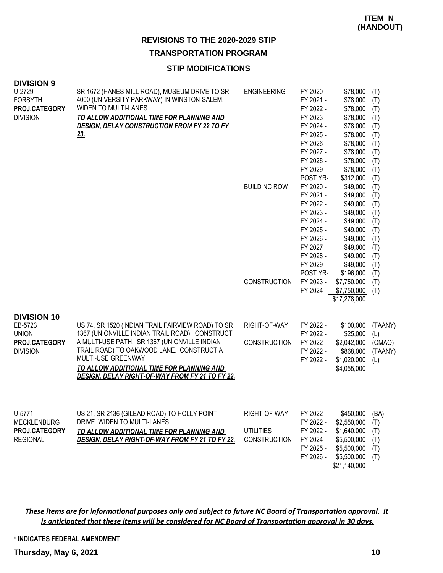# **TRANSPORTATION PROGRAM**

#### **STIP MODIFICATIONS**

| <b>DIVISION 9</b><br>U-2729<br><b>FORSYTH</b><br>PROJ.CATEGORY<br><b>DIVISION</b> | SR 1672 (HANES MILL ROAD), MUSEUM DRIVE TO SR<br>4000 (UNIVERSITY PARKWAY) IN WINSTON-SALEM.<br>WIDEN TO MULTI-LANES.<br>TO ALLOW ADDITIONAL TIME FOR PLANNING AND<br>DESIGN, DELAY CONSTRUCTION FROM FY 22 TO FY<br>23.                                                                                               | <b>ENGINEERING</b><br><b>BUILD NC ROW</b><br><b>CONSTRUCTION</b> | FY 2020 -<br>FY 2021 -<br>FY 2022 -<br>FY 2023 -<br>FY 2024 -<br>FY 2025 -<br>FY 2026 -<br>FY 2027 -<br>FY 2028 -<br>FY 2029 -<br>POST YR-<br>FY 2020 -<br>FY 2021 -<br>FY 2022 -<br>FY 2023 -<br>FY 2024 -<br>FY 2025 -<br>FY 2026 -<br>FY 2027 -<br>FY 2028 -<br>FY 2029 -<br>POST YR-<br>FY 2023 -<br>FY 2024 - | \$78,000<br>\$78,000<br>\$78,000<br>\$78,000<br>\$78,000<br>\$78,000<br>\$78,000<br>\$78,000<br>\$78,000<br>\$78,000<br>\$312,000<br>\$49,000<br>\$49,000<br>\$49,000<br>\$49,000<br>\$49,000<br>\$49,000<br>\$49,000<br>\$49,000<br>\$49,000<br>\$49,000<br>\$196,000<br>\$7,750,000<br>\$7,750,000<br>\$17,278,000 | (T)<br>(T)<br>(T)<br>(T)<br>(T)<br>(T)<br>(T)<br>(T)<br>(T)<br>(T)<br>(T)<br>(T)<br>(T)<br>(T)<br>(T)<br>(T)<br>(T)<br>(T)<br>(T)<br>(T)<br>(T)<br>(T)<br>(T)<br>(T) |
|-----------------------------------------------------------------------------------|------------------------------------------------------------------------------------------------------------------------------------------------------------------------------------------------------------------------------------------------------------------------------------------------------------------------|------------------------------------------------------------------|--------------------------------------------------------------------------------------------------------------------------------------------------------------------------------------------------------------------------------------------------------------------------------------------------------------------|----------------------------------------------------------------------------------------------------------------------------------------------------------------------------------------------------------------------------------------------------------------------------------------------------------------------|----------------------------------------------------------------------------------------------------------------------------------------------------------------------|
| <b>DIVISION 10</b><br>EB-5723<br><b>UNION</b><br>PROJ.CATEGORY<br><b>DIVISION</b> | US 74, SR 1520 (INDIAN TRAIL FAIRVIEW ROAD) TO SR<br>1367 (UNIONVILLE INDIAN TRAIL ROAD). CONSTRUCT<br>A MULTI-USE PATH. SR 1367 (UNIONVILLE INDIAN<br>TRAIL ROAD) TO OAKWOOD LANE. CONSTRUCT A<br>MULTI-USE GREENWAY.<br>TO ALLOW ADDITIONAL TIME FOR PLANNING AND<br>DESIGN, DELAY RIGHT-OF-WAY FROM FY 21 TO FY 22. | RIGHT-OF-WAY<br><b>CONSTRUCTION</b>                              | FY 2022 -<br>FY 2022 -<br>FY 2022 -<br>FY 2022 -<br>FY 2022 -                                                                                                                                                                                                                                                      | \$100,000<br>\$25,000<br>\$2,042,000<br>\$868,000<br>\$1,020,000<br>\$4,055,000                                                                                                                                                                                                                                      | (TAANY)<br>(L)<br>(CMAQ)<br>(TAANY)<br>(L)                                                                                                                           |
| U-5771<br><b>MECKLENBURG</b><br>PROJ.CATEGORY<br><b>REGIONAL</b>                  | US 21, SR 2136 (GILEAD ROAD) TO HOLLY POINT<br>DRIVE. WIDEN TO MULTI-LANES.<br>TO ALLOW ADDITIONAL TIME FOR PLANNING AND<br>DESIGN, DELAY RIGHT-OF-WAY FROM FY 21 TO FY 22.                                                                                                                                            | RIGHT-OF-WAY<br><b>UTILITIES</b><br><b>CONSTRUCTION</b>          | FY 2022 -<br>FY 2022 -<br>FY 2022 -<br>FY 2024 -<br>FY 2025 -<br>FY 2026 -                                                                                                                                                                                                                                         | \$450,000<br>\$2,550,000<br>\$1,640,000<br>\$5,500,000<br>\$5,500,000<br>\$5,500,000<br>\$21,140,000                                                                                                                                                                                                                 | (BA)<br>(T)<br>(T)<br>(T)<br>(T)<br>(T)                                                                                                                              |

*These items are for informational purposes only and subject to future NC Board of Transportation approval. It is anticipated that these items will be considered for NC Board of Transportation approval in 30 days.*

#### **\* INDICATES FEDERAL AMENDMENT**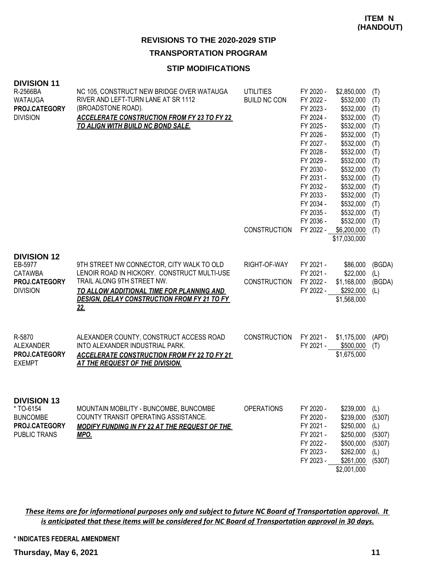# **TRANSPORTATION PROGRAM**

# **STIP MODIFICATIONS**

| <b>DIVISION 11</b><br>R-2566BA<br><b>WATAUGA</b><br>PROJ.CATEGORY<br><b>DIVISION</b>       | NC 105, CONSTRUCT NEW BRIDGE OVER WATAUGA<br>RIVER AND LEFT-TURN LANE AT SR 1112<br>(BROADSTONE ROAD).<br><b>ACCELERATE CONSTRUCTION FROM FY 23 TO FY 22</b><br>TO ALIGN WITH BUILD NC BOND SALE.                                       | <b>UTILITIES</b><br><b>BUILD NC CON</b><br><b>CONSTRUCTION</b> | FY 2020 -<br>FY 2022 -<br>FY 2023 -<br>FY 2024 -<br>FY 2025 -<br>FY 2026 -<br>FY 2027 -<br>FY 2028 -<br>FY 2029 -<br>FY 2030 -<br>FY 2031 -<br>FY 2032 -<br>FY 2033 -<br>FY 2034 -<br>FY 2035 -<br>FY 2036 -<br>FY 2022 - | \$2,850,000<br>\$532,000<br>\$532,000<br>\$532,000<br>\$532,000<br>\$532,000<br>\$532,000<br>\$532,000<br>\$532,000<br>\$532,000<br>\$532,000<br>\$532,000<br>\$532,000<br>\$532,000<br>\$532,000<br>\$532,000<br>\$6,200,000<br>\$17,030,000 | (T)<br>(T)<br>(T)<br>(T)<br>(T)<br>(T)<br>(T)<br>(T)<br>(T)<br>(T)<br>(T)<br>(T)<br>(T)<br>(T)<br>(T)<br>(T)<br>(T) |
|--------------------------------------------------------------------------------------------|-----------------------------------------------------------------------------------------------------------------------------------------------------------------------------------------------------------------------------------------|----------------------------------------------------------------|---------------------------------------------------------------------------------------------------------------------------------------------------------------------------------------------------------------------------|-----------------------------------------------------------------------------------------------------------------------------------------------------------------------------------------------------------------------------------------------|---------------------------------------------------------------------------------------------------------------------|
| <b>DIVISION 12</b><br>EB-5977<br><b>CATAWBA</b><br>PROJ.CATEGORY<br><b>DIVISION</b>        | 9TH STREET NW CONNECTOR, CITY WALK TO OLD<br>LENOIR ROAD IN HICKORY. CONSTRUCT MULTI-USE<br>TRAIL ALONG 9TH STREET NW.<br>TO ALLOW ADDITIONAL TIME FOR PLANNING AND<br><b>DESIGN, DELAY CONSTRUCTION FROM FY 21 TO FY</b><br><u>22.</u> | RIGHT-OF-WAY<br><b>CONSTRUCTION</b>                            | FY 2021 -<br>FY 2021 -<br>FY 2022 -<br>FY 2022 -                                                                                                                                                                          | \$86,000<br>\$22,000<br>\$1,168,000<br>\$292,000<br>\$1,568,000                                                                                                                                                                               | (BGDA)<br>(L)<br>(BGDA)<br>(L)                                                                                      |
| R-5870<br><b>ALEXANDER</b><br>PROJ.CATEGORY<br><b>EXEMPT</b>                               | ALEXANDER COUNTY, CONSTRUCT ACCESS ROAD<br>INTO ALEXANDER INDUSTRIAL PARK.<br><b>ACCELERATE CONSTRUCTION FROM FY 22 TO FY 21</b><br><b>AT THE REQUEST OF THE DIVISION.</b>                                                              | <b>CONSTRUCTION</b>                                            | FY 2021 -<br>FY 2021 -                                                                                                                                                                                                    | \$1,175,000<br>\$500,000<br>\$1,675,000                                                                                                                                                                                                       | (APD)<br>(T)                                                                                                        |
| <b>DIVISION 13</b><br>* TO-6154<br><b>BUNCOMBE</b><br>PROJ.CATEGORY<br><b>PUBLIC TRANS</b> | MOUNTAIN MOBILITY - BUNCOMBE, BUNCOMBE<br>COUNTY TRANSIT OPERATING ASSISTANCE.<br>MODIFY FUNDING IN FY 22 AT THE REQUEST OF THE<br><b>MPO.</b>                                                                                          | <b>OPERATIONS</b>                                              | FY 2020 -<br>FY 2020 -<br>FY 2021 -<br>FY 2021 -<br>FY 2022 -<br>FY 2023 -<br>FY 2023 -                                                                                                                                   | \$239,000<br>\$239,000<br>\$250,000<br>\$250,000<br>\$500,000<br>\$262,000<br>\$261,000<br>\$2,001,000                                                                                                                                        | (L)<br>(5307)<br>(L)<br>(5307)<br>(5307)<br>(L)<br>(5307)                                                           |

*These items are for informational purposes only and subject to future NC Board of Transportation approval. It is anticipated that these items will be considered for NC Board of Transportation approval in 30 days.*

## **\* INDICATES FEDERAL AMENDMENT**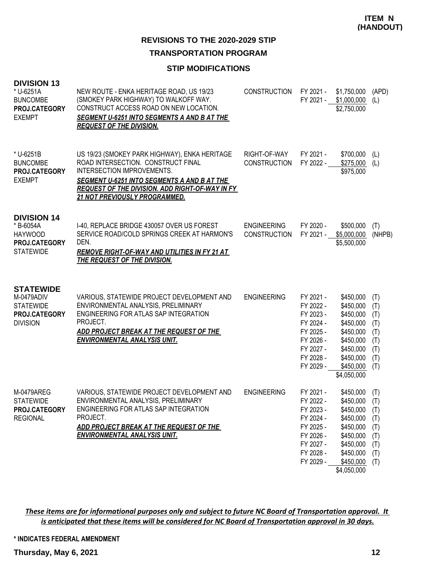**TRANSPORTATION PROGRAM**

# **STIP MODIFICATIONS**

| <b>DIVISION 13</b><br>* U-6251A<br><b>BUNCOMBE</b><br>PROJ.CATEGORY<br><b>EXEMPT</b>   | NEW ROUTE - ENKA HERITAGE ROAD, US 19/23<br>(SMOKEY PARK HIGHWAY) TO WALKOFF WAY.<br>CONSTRUCT ACCESS ROAD ON NEW LOCATION.<br>SEGMENT U-6251 INTO SEGMENTS A AND B AT THE<br><b>REQUEST OF THE DIVISION.</b>                                                      | <b>CONSTRUCTION</b>                       | FY 2021 -<br>FY 2021 -                                                                                            | \$1,750,000<br>\$1,000,000<br>\$2,750,000                                                                                        | (APD)<br>(L)                                                |
|----------------------------------------------------------------------------------------|--------------------------------------------------------------------------------------------------------------------------------------------------------------------------------------------------------------------------------------------------------------------|-------------------------------------------|-------------------------------------------------------------------------------------------------------------------|----------------------------------------------------------------------------------------------------------------------------------|-------------------------------------------------------------|
| * U-6251B<br><b>BUNCOMBE</b><br>PROJ.CATEGORY<br><b>EXEMPT</b>                         | US 19/23 (SMOKEY PARK HIGHWAY), ENKA HERITAGE<br>ROAD INTERSECTION. CONSTRUCT FINAL<br>INTERSECTION IMPROVEMENTS.<br>SEGMENT U-6251 INTO SEGMENTS A AND B AT THE<br><b>REQUEST OF THE DIVISION. ADD RIGHT-OF-WAY IN FY</b><br><b>21 NOT PREVIOUSLY PROGRAMMED.</b> | RIGHT-OF-WAY<br><b>CONSTRUCTION</b>       | FY 2021 -<br>FY 2022 -                                                                                            | \$700,000<br>\$275,000<br>\$975,000                                                                                              | (L)<br>(L)                                                  |
| <b>DIVISION 14</b><br>* B-6054A<br><b>HAYWOOD</b><br>PROJ.CATEGORY<br><b>STATEWIDE</b> | I-40, REPLACE BRIDGE 430057 OVER US FOREST<br>SERVICE ROAD/COLD SPRINGS CREEK AT HARMON'S<br>DEN.<br><b>REMOVE RIGHT-OF-WAY AND UTILITIES IN FY 21 AT</b><br><b>THE REQUEST OF THE DIVISION.</b>                                                                   | <b>ENGINEERING</b><br><b>CONSTRUCTION</b> | FY 2020 -<br>FY 2021 -                                                                                            | \$500,000<br>\$5,000,000<br>\$5,500,000                                                                                          | (T)<br>(NHPB)                                               |
| <b>STATEWIDE</b><br>M-0479ADIV<br><b>STATEWIDE</b><br>PROJ.CATEGORY<br><b>DIVISION</b> | VARIOUS, STATEWIDE PROJECT DEVELOPMENT AND<br>ENVIRONMENTAL ANALYSIS, PRELIMINARY<br>ENGINEERING FOR ATLAS SAP INTEGRATION<br>PROJECT.<br>ADD PROJECT BREAK AT THE REQUEST OF THE<br><b>ENVIRONMENTAL ANALYSIS UNIT.</b>                                           | <b>ENGINEERING</b>                        | FY 2021 -<br>FY 2022 -<br>FY 2023 -<br>FY 2024 -<br>FY 2025 -<br>FY 2026 -<br>FY 2027 -<br>FY 2028 -<br>FY 2029 - | \$450,000<br>\$450,000<br>\$450,000<br>\$450,000<br>\$450,000<br>\$450,000<br>\$450,000<br>\$450,000<br>\$450,000<br>\$4,050,000 | (T)<br>(T)<br>(T)<br>(T)<br>(T)<br>(T)<br>(T)<br>(T)<br>(T) |
| <b>M-0479AREG</b><br><b>STATEWIDE</b><br>PROJ.CATEGORY<br><b>REGIONAL</b>              | VARIOUS, STATEWIDE PROJECT DEVELOPMENT AND<br>ENVIRONMENTAL ANALYSIS, PRELIMINARY<br>ENGINEERING FOR ATLAS SAP INTEGRATION<br>PROJECT.<br>ADD PROJECT BREAK AT THE REQUEST OF THE<br><b>ENVIRONMENTAL ANALYSIS UNIT.</b>                                           | <b>ENGINEERING</b>                        | FY 2021 -<br>FY 2022 -<br>FY 2023 -<br>FY 2024 -<br>FY 2025 -<br>FY 2026 -<br>FY 2027 -<br>FY 2028 -<br>FY 2029 - | \$450,000<br>\$450,000<br>\$450,000<br>\$450,000<br>\$450,000<br>\$450,000<br>\$450,000<br>\$450,000<br>\$450,000<br>\$4,050,000 | (T)<br>(T)<br>(T)<br>(T)<br>(T)<br>(T)<br>(T)<br>(T)<br>(T) |

*These items are for informational purposes only and subject to future NC Board of Transportation approval. It is anticipated that these items will be considered for NC Board of Transportation approval in 30 days.*

## **\* INDICATES FEDERAL AMENDMENT**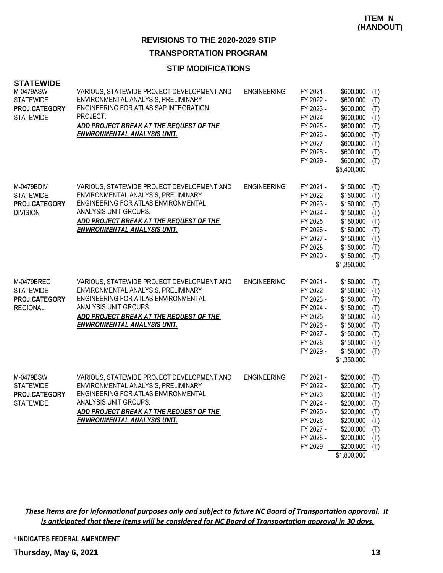# **TRANSPORTATION PROGRAM**

## **STIP MODIFICATIONS**

| <b>STATEWIDE</b>              |                                                                                       |                    |                        |                        |            |
|-------------------------------|---------------------------------------------------------------------------------------|--------------------|------------------------|------------------------|------------|
| M-0479ASW<br><b>STATEWIDE</b> | VARIOUS, STATEWIDE PROJECT DEVELOPMENT AND<br>ENVIRONMENTAL ANALYSIS, PRELIMINARY     | <b>ENGINEERING</b> | FY 2021 -<br>FY 2022 - | \$600,000<br>\$600,000 | (T)<br>(T) |
| PROJ.CATEGORY                 | ENGINEERING FOR ATLAS SAP INTEGRATION<br>PROJECT.                                     |                    | FY 2023 -              | \$600,000              | (T)        |
| <b>STATEWIDE</b>              |                                                                                       |                    | FY 2024 -              | \$600,000              | (T)        |
|                               | <u>ADD PROJECT BREAK AT THE REQUEST OF THE</u><br><b>ENVIRONMENTAL ANALYSIS UNIT.</b> |                    | FY 2025 -              | \$600,000              | (T)        |
|                               |                                                                                       |                    | FY 2026 -<br>FY 2027 - | \$600,000              | (T)        |
|                               |                                                                                       |                    | FY 2028 -              | \$600,000<br>\$600,000 | (T)        |
|                               |                                                                                       |                    | FY 2029 -              | \$600,000              | (T)        |
|                               |                                                                                       |                    |                        | \$5,400,000            | (T)        |
|                               |                                                                                       |                    |                        |                        |            |
| M-0479BDIV                    | VARIOUS, STATEWIDE PROJECT DEVELOPMENT AND                                            | <b>ENGINEERING</b> | FY 2021 -              | \$150,000              | (T)        |
| <b>STATEWIDE</b>              | ENVIRONMENTAL ANALYSIS, PRELIMINARY                                                   |                    | FY 2022 -              | \$150,000              | (T)        |
| PROJ.CATEGORY                 | ENGINEERING FOR ATLAS ENVIRONMENTAL                                                   |                    | FY 2023 -              | \$150,000              | (T)        |
| <b>DIVISION</b>               | ANALYSIS UNIT GROUPS.                                                                 |                    | FY 2024 -              | \$150,000              | (T)        |
|                               | ADD PROJECT BREAK AT THE REQUEST OF THE                                               |                    | FY 2025 -              | \$150,000              | (T)        |
|                               | <b>ENVIRONMENTAL ANALYSIS UNIT.</b>                                                   |                    | FY 2026 -              | \$150,000              | (T)        |
|                               |                                                                                       |                    | FY 2027 -              | \$150,000              | (T)        |
|                               |                                                                                       |                    | FY 2028 -              | \$150,000              | (T)        |
|                               |                                                                                       |                    | FY 2029 -              | \$150,000              | (T)        |
|                               |                                                                                       |                    |                        | \$1,350,000            |            |
| M-0479BREG                    | VARIOUS, STATEWIDE PROJECT DEVELOPMENT AND                                            | <b>ENGINEERING</b> | FY 2021 -              | \$150,000              | (T)        |
| <b>STATEWIDE</b>              | ENVIRONMENTAL ANALYSIS, PRELIMINARY                                                   |                    | FY 2022 -              | \$150,000              | (T)        |
| PROJ.CATEGORY                 | ENGINEERING FOR ATLAS ENVIRONMENTAL                                                   |                    | FY 2023 -              | \$150,000              | (T)        |
| <b>REGIONAL</b>               | ANALYSIS UNIT GROUPS.                                                                 |                    | FY 2024 -              | \$150,000              | (T)        |
|                               | <u>ADD PROJECT BREAK AT THE REQUEST OF THE</u>                                        |                    | FY 2025 -              | \$150,000              | (T)        |
|                               | <b>ENVIRONMENTAL ANALYSIS UNIT.</b>                                                   |                    | FY 2026 -              | \$150,000              | (T)        |
|                               |                                                                                       |                    | FY 2027 -              | \$150,000              | (T)        |
|                               |                                                                                       |                    | FY 2028 -              | \$150,000              | (T)        |
|                               |                                                                                       |                    | FY 2029 -              | \$150,000              | (T)        |
|                               |                                                                                       |                    |                        | \$1,350,000            |            |
| M-0479BSW                     | VARIOUS, STATEWIDE PROJECT DEVELOPMENT AND                                            | <b>ENGINEERING</b> | FY 2021 -              | \$200,000              | (T)        |
| <b>STATEWIDE</b>              | ENVIRONMENTAL ANALYSIS, PRELIMINARY                                                   |                    | FY 2022 -              | \$200,000              | (T)        |
| PROJ.CATEGORY                 | ENGINEERING FOR ATLAS ENVIRONMENTAL                                                   |                    | FY 2023 -              | \$200,000              | (T)        |
| <b>STATEWIDE</b>              | ANALYSIS UNIT GROUPS.                                                                 |                    | FY 2024 -              | \$200,000              | (T)        |
|                               | ADD PROJECT BREAK AT THE REQUEST OF THE                                               |                    | FY 2025 -              | \$200,000              | (T)        |
|                               | <b>ENVIRONMENTAL ANALYSIS UNIT.</b>                                                   |                    | FY 2026 -              | \$200,000              | (T)        |
|                               |                                                                                       |                    | FY 2027 -              | \$200,000              | (T)        |
|                               |                                                                                       |                    | FY 2028 -              | \$200,000              | (T)        |
|                               |                                                                                       |                    | FY 2029 -              | \$200,000              | (T)        |
|                               |                                                                                       |                    |                        | \$1,800,000            |            |